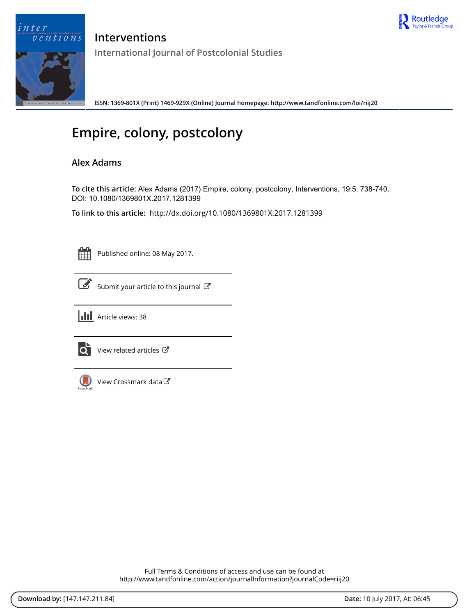



**Interventions International Journal of Postcolonial Studies**

**ISSN: 1369-801X (Print) 1469-929X (Online) Journal homepage:<http://www.tandfonline.com/loi/riij20>**

# **Empire, colony, postcolony**

## **Alex Adams**

**To cite this article:** Alex Adams (2017) Empire, colony, postcolony, Interventions, 19:5, 738-740, DOI: [10.1080/1369801X.2017.1281399](http://www.tandfonline.com/action/showCitFormats?doi=10.1080/1369801X.2017.1281399)

**To link to this article:** <http://dx.doi.org/10.1080/1369801X.2017.1281399>

Published online: 08 May 2017.

|--|

[Submit your article to this journal](http://www.tandfonline.com/action/authorSubmission?journalCode=riij20&show=instructions)  $\mathbb{Z}$ 





[View related articles](http://www.tandfonline.com/doi/mlt/10.1080/1369801X.2017.1281399) C



[View Crossmark data](http://crossmark.crossref.org/dialog/?doi=10.1080/1369801X.2017.1281399&domain=pdf&date_stamp=2017-05-08)<sup>で</sup>

Full Terms & Conditions of access and use can be found at <http://www.tandfonline.com/action/journalInformation?journalCode=riij20>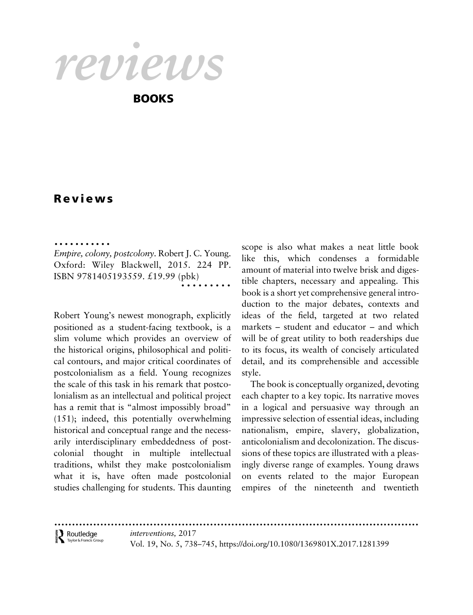# reviews

#### **BOOKS**

## Reviews

...........

Empire, colony, postcolony. Robert J. C. Young. Oxford: Wiley Blackwell, 2015. 224 PP. ISBN 9781405193559. £19.99 (pbk)

Robert Young's newest monograph, explicitly positioned as a student-facing textbook, is a slim volume which provides an overview of the historical origins, philosophical and political contours, and major critical coordinates of postcolonialism as a field. Young recognizes the scale of this task in his remark that postcolonialism as an intellectual and political project has a remit that is "almost impossibly broad" (151); indeed, this potentially overwhelming historical and conceptual range and the necessarily interdisciplinary embeddedness of postcolonial thought in multiple intellectual traditions, whilst they make postcolonialism what it is, have often made postcolonial studies challenging for students. This daunting scope is also what makes a neat little book like this, which condenses a formidable amount of material into twelve brisk and digestible chapters, necessary and appealing. This book is a short yet comprehensive general introduction to the major debates, contexts and ideas of the field, targeted at two related markets – student and educator – and which will be of great utility to both readerships due to its focus, its wealth of concisely articulated detail, and its comprehensible and accessible style.

The book is conceptually organized, devoting each chapter to a key topic. Its narrative moves in a logical and persuasive way through an impressive selection of essential ideas, including nationalism, empire, slavery, globalization, anticolonialism and decolonization. The discussions of these topics are illustrated with a pleasingly diverse range of examples. Young draws on events related to the major European empires of the nineteenth and twentieth

[...............](http://www.tandfonline.com)........................................................................................  $\sum_{\text{raylor's Francis Group}}$ interventions, 2017 Vol. 19, No. 5, 738–745, https://doi.org/10.1080/1369801X.2017.1281399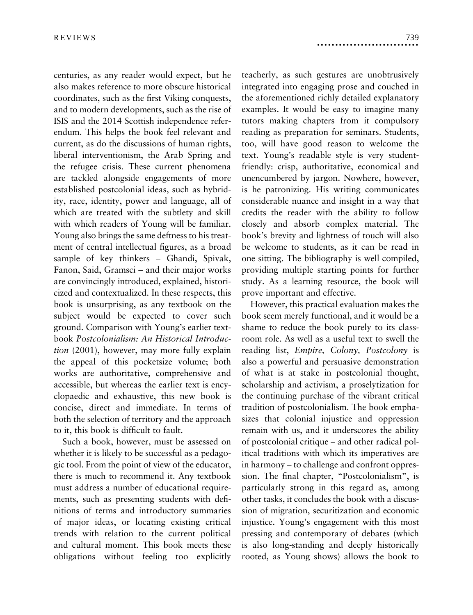centuries, as any reader would expect, but he also makes reference to more obscure historical coordinates, such as the first Viking conquests, and to modern developments, such as the rise of ISIS and the 2014 Scottish independence referendum. This helps the book feel relevant and current, as do the discussions of human rights, liberal interventionism, the Arab Spring and the refugee crisis. These current phenomena are tackled alongside engagements of more established postcolonial ideas, such as hybridity, race, identity, power and language, all of which are treated with the subtlety and skill with which readers of Young will be familiar. Young also brings the same deftness to his treatment of central intellectual figures, as a broad sample of key thinkers – Ghandi, Spivak, Fanon, Said, Gramsci – and their major works are convincingly introduced, explained, historicized and contextualized. In these respects, this book is unsurprising, as any textbook on the subject would be expected to cover such ground. Comparison with Young's earlier textbook Postcolonialism: An Historical Introduction (2001), however, may more fully explain the appeal of this pocketsize volume; both works are authoritative, comprehensive and accessible, but whereas the earlier text is encyclopaedic and exhaustive, this new book is concise, direct and immediate. In terms of both the selection of territory and the approach to it, this book is difficult to fault.

Such a book, however, must be assessed on whether it is likely to be successful as a pedagogic tool. From the point of view of the educator, there is much to recommend it. Any textbook must address a number of educational requirements, such as presenting students with definitions of terms and introductory summaries of major ideas, or locating existing critical trends with relation to the current political and cultural moment. This book meets these obligations without feeling too explicitly teacherly, as such gestures are unobtrusively integrated into engaging prose and couched in the aforementioned richly detailed explanatory examples. It would be easy to imagine many tutors making chapters from it compulsory reading as preparation for seminars. Students, too, will have good reason to welcome the text. Young's readable style is very studentfriendly: crisp, authoritative, economical and unencumbered by jargon. Nowhere, however, is he patronizing. His writing communicates considerable nuance and insight in a way that credits the reader with the ability to follow closely and absorb complex material. The book's brevity and lightness of touch will also be welcome to students, as it can be read in one sitting. The bibliography is well compiled, providing multiple starting points for further study. As a learning resource, the book will prove important and effective.

However, this practical evaluation makes the book seem merely functional, and it would be a shame to reduce the book purely to its classroom role. As well as a useful text to swell the reading list, Empire, Colony, Postcolony is also a powerful and persuasive demonstration of what is at stake in postcolonial thought, scholarship and activism, a proselytization for the continuing purchase of the vibrant critical tradition of postcolonialism. The book emphasizes that colonial injustice and oppression remain with us, and it underscores the ability of postcolonial critique – and other radical political traditions with which its imperatives are in harmony – to challenge and confront oppression. The final chapter, "Postcolonialism", is particularly strong in this regard as, among other tasks, it concludes the book with a discussion of migration, securitization and economic injustice. Young's engagement with this most pressing and contemporary of debates (which is also long-standing and deeply historically rooted, as Young shows) allows the book to